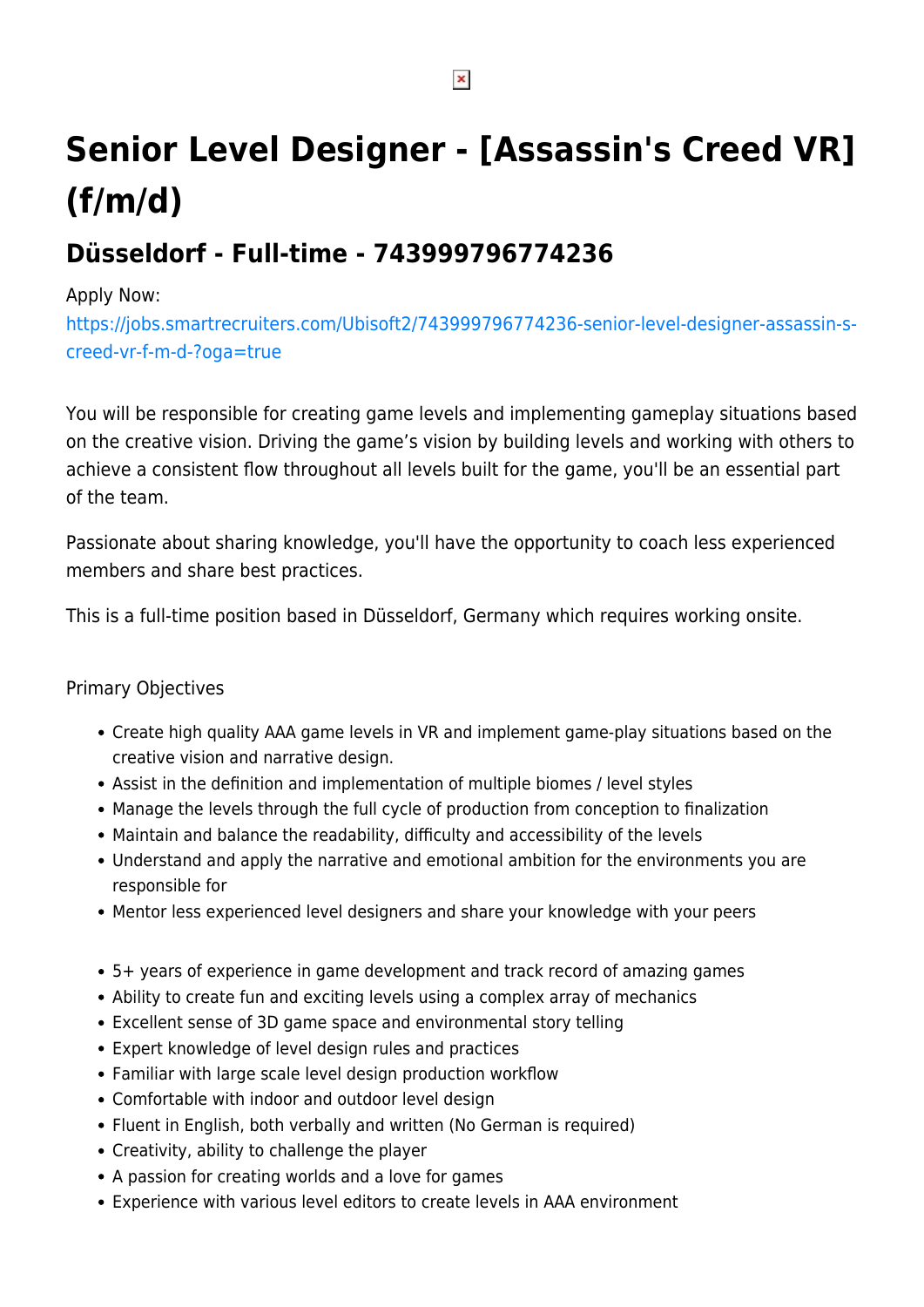## **Senior Level Designer - [Assassin's Creed VR] (f/m/d)**

## **Düsseldorf - Full-time - 743999796774236**

## Apply Now:

[https://jobs.smartrecruiters.com/Ubisoft2/743999796774236-senior-level-designer-assassin-s](https://jobs.smartrecruiters.com/Ubisoft2/743999796774236-senior-level-designer-assassin-s-creed-vr-f-m-d-?oga=true)[creed-vr-f-m-d-?oga=true](https://jobs.smartrecruiters.com/Ubisoft2/743999796774236-senior-level-designer-assassin-s-creed-vr-f-m-d-?oga=true)

You will be responsible for creating game levels and implementing gameplay situations based on the creative vision. Driving the game's vision by building levels and working with others to achieve a consistent flow throughout all levels built for the game, you'll be an essential part of the team.

Passionate about sharing knowledge, you'll have the opportunity to coach less experienced members and share best practices.

This is a full-time position based in Düsseldorf, Germany which requires working onsite.

## Primary Objectives

- Create high quality AAA game levels in VR and implement game-play situations based on the creative vision and narrative design.
- Assist in the definition and implementation of multiple biomes / level styles
- Manage the levels through the full cycle of production from conception to finalization
- Maintain and balance the readability, difficulty and accessibility of the levels
- Understand and apply the narrative and emotional ambition for the environments you are responsible for
- Mentor less experienced level designers and share your knowledge with your peers
- 5+ years of experience in game development and track record of amazing games
- Ability to create fun and exciting levels using a complex array of mechanics
- Excellent sense of 3D game space and environmental story telling
- Expert knowledge of level design rules and practices
- Familiar with large scale level design production workflow
- Comfortable with indoor and outdoor level design
- Fluent in English, both verbally and written (No German is required)
- Creativity, ability to challenge the player
- A passion for creating worlds and a love for games
- Experience with various level editors to create levels in AAA environment

 $\pmb{\times}$